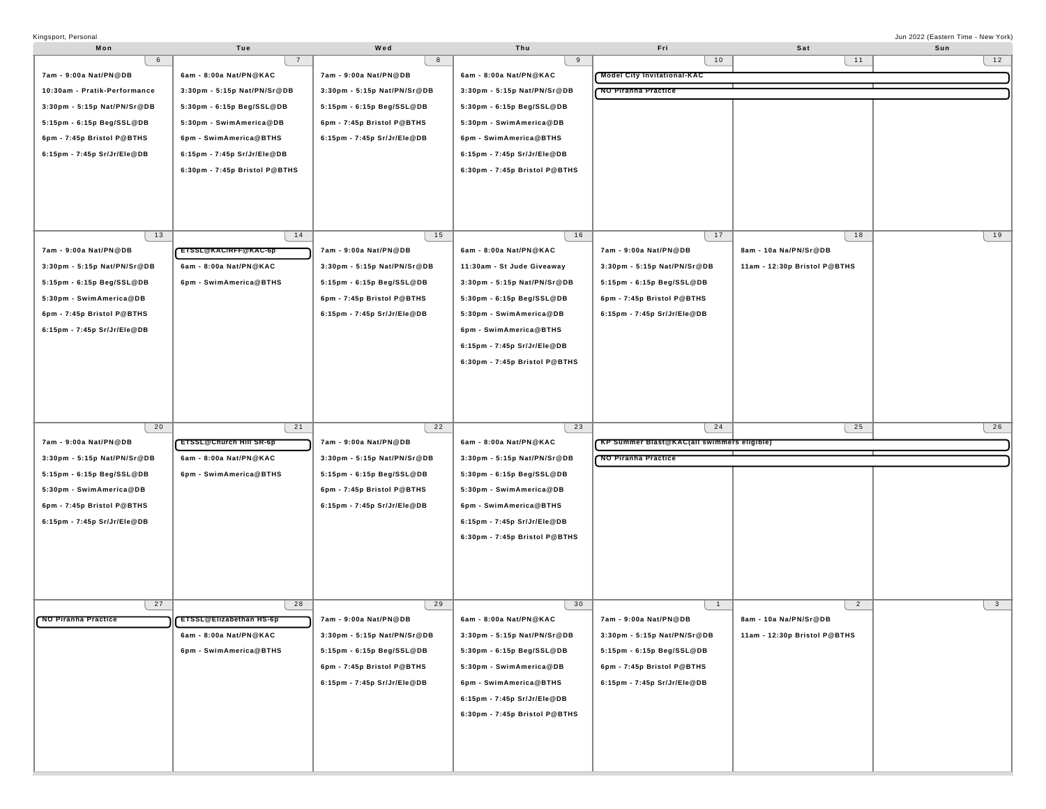| Kingsport, Personal          |                                |                             |                               |                                             |                              | Jun 2022 (Eastern Time - New York) |
|------------------------------|--------------------------------|-----------------------------|-------------------------------|---------------------------------------------|------------------------------|------------------------------------|
| Mon                          | Tue                            | Wed                         | Thu                           | Fri                                         | Sat                          | Sun                                |
| 6                            | $\overline{7}$                 | 8                           | 9                             | 10                                          | 11                           | 12                                 |
| 7am - 9:00a Nat/PN@DB        | 6am - 8:00a Nat/PN@KAC         | 7am - 9:00a Nat/PN@DB       | 6am - 8:00a Nat/PN@KAC        | <b>Model City Invitational-KAC</b>          |                              |                                    |
| 10:30am - Pratik-Performance | 3:30pm - 5:15p Nat/PN/Sr@DB    | 3:30pm - 5:15p Nat/PN/Sr@DB | 3:30pm - 5:15p Nat/PN/Sr@DB   | <b>NO Piranha Practice</b>                  |                              |                                    |
| 3:30pm - 5:15p Nat/PN/Sr@DB  | 5:30pm - 6:15p Beg/SSL@DB      | 5:15pm - 6:15p Beg/SSL@DB   | 5:30pm - 6:15p Beg/SSL@DB     |                                             |                              |                                    |
| 5:15pm - 6:15p Beg/SSL@DB    | 5:30pm - SwimAmerica@DB        | 6pm - 7:45p Bristol P@BTHS  | 5:30pm - SwimAmerica@DB       |                                             |                              |                                    |
|                              |                                |                             |                               |                                             |                              |                                    |
| 6pm - 7:45p Bristol P@BTHS   | 6pm - SwimAmerica@BTHS         | 6:15pm - 7:45p Sr/Jr/Ele@DB | 6pm - SwimAmerica@BTHS        |                                             |                              |                                    |
| 6:15pm - 7:45p Sr/Jr/Ele@DB  | 6:15pm - 7:45p Sr/Jr/Ele@DB    |                             | 6:15pm - 7:45p Sr/Jr/Ele@DB   |                                             |                              |                                    |
|                              | 6:30pm - 7:45p Bristol P@BTHS  |                             | 6:30pm - 7:45p Bristol P@BTHS |                                             |                              |                                    |
|                              |                                |                             |                               |                                             |                              |                                    |
|                              |                                |                             |                               |                                             |                              |                                    |
|                              |                                |                             |                               |                                             |                              |                                    |
|                              |                                |                             |                               |                                             |                              |                                    |
| 13                           | 14                             | 15                          | 16                            | 17                                          | 18                           | 19                                 |
| 7am - 9:00a Nat/PN@DB        | ETSSL@KAC/RFF@KAC-6p           | 7am - 9:00a Nat/PN@DB       | 6am - 8:00a Nat/PN@KAC        | 7am - 9:00a Nat/PN@DB                       | 8am - 10a Na/PN/Sr@DB        |                                    |
| 3:30pm - 5:15p Nat/PN/Sr@DB  | 6am - 8:00a Nat/PN@KAC         | 3:30pm - 5:15p Nat/PN/Sr@DB | 11:30am - St Jude Giveaway    | 3:30pm - 5:15p Nat/PN/Sr@DB                 | 11am - 12:30p Bristol P@BTHS |                                    |
| 5:15pm - 6:15p Beg/SSL@DB    | 6pm - SwimAmerica@BTHS         | 5:15pm - 6:15p Beg/SSL@DB   | 3:30pm - 5:15p Nat/PN/Sr@DB   | 5:15pm - 6:15p Beg/SSL@DB                   |                              |                                    |
| 5:30pm - SwimAmerica@DB      |                                | 6pm - 7:45p Bristol P@BTHS  | 5:30pm - 6:15p Beg/SSL@DB     | 6pm - 7:45p Bristol P@BTHS                  |                              |                                    |
| 6pm - 7:45p Bristol P@BTHS   |                                | 6:15pm - 7:45p Sr/Jr/Ele@DB | 5:30pm - SwimAmerica@DB       | 6:15pm - 7:45p Sr/Jr/Ele@DB                 |                              |                                    |
| 6:15pm - 7:45p Sr/Jr/Ele@DB  |                                |                             |                               |                                             |                              |                                    |
|                              |                                |                             | 6pm - SwimAmerica@BTHS        |                                             |                              |                                    |
|                              |                                |                             | 6:15pm - 7:45p Sr/Jr/Ele@DB   |                                             |                              |                                    |
|                              |                                |                             | 6:30pm - 7:45p Bristol P@BTHS |                                             |                              |                                    |
|                              |                                |                             |                               |                                             |                              |                                    |
|                              |                                |                             |                               |                                             |                              |                                    |
|                              |                                |                             |                               |                                             |                              |                                    |
|                              |                                |                             |                               |                                             |                              |                                    |
|                              |                                |                             |                               |                                             |                              |                                    |
| 20                           | 21                             | 22                          | 23                            | 24                                          | 25                           | 26                                 |
| 7am - 9:00a Nat/PN@DB        | ETSSL@Church Hill SR-6p        | 7am - 9:00a Nat/PN@DB       | 6am - 8:00a Nat/PN@KAC        | (KP Summer Blast@KAC(all swimmers eligible) |                              |                                    |
| 3:30pm - 5:15p Nat/PN/Sr@DB  | 6am - 8:00a Nat/PN@KAC         | 3:30pm - 5:15p Nat/PN/Sr@DB | 3:30pm - 5:15p Nat/PN/Sr@DB   | <b>NO Piranha Practice</b>                  |                              |                                    |
| 5:15pm - 6:15p Beg/SSL@DB    | 6pm - SwimAmerica@BTHS         | 5:15pm - 6:15p Beg/SSL@DB   | 5:30pm - 6:15p Beg/SSL@DB     |                                             |                              |                                    |
| 5:30pm - SwimAmerica@DB      |                                | 6pm - 7:45p Bristol P@BTHS  | 5:30pm - SwimAmerica@DB       |                                             |                              |                                    |
| 6pm - 7:45p Bristol P@BTHS   |                                | 6:15pm - 7:45p Sr/Jr/Ele@DB | 6pm - SwimAmerica@BTHS        |                                             |                              |                                    |
| 6:15pm - 7:45p Sr/Jr/Ele@DB  |                                |                             | 6:15pm - 7:45p Sr/Jr/Ele@DB   |                                             |                              |                                    |
|                              |                                |                             |                               |                                             |                              |                                    |
|                              |                                |                             | 6:30pm - 7:45p Bristol P@BTHS |                                             |                              |                                    |
|                              |                                |                             |                               |                                             |                              |                                    |
|                              |                                |                             |                               |                                             |                              |                                    |
|                              |                                |                             |                               |                                             |                              |                                    |
| 27                           | 28                             | 29                          | 30                            | $\overline{1}$                              | $\overline{2}$               | $\mathbf{3}$                       |
| <b>NO Piranha Practice</b>   | <b>ETSSL@Elizabethan HS-6p</b> | 7am - 9:00a Nat/PN@DB       | 6am - 8:00a Nat/PN@KAC        | 7am - 9:00a Nat/PN@DB                       | 8am - 10a Na/PN/Sr@DB        |                                    |
|                              | 6am - 8:00a Nat/PN@KAC         |                             |                               | 3:30pm - 5:15p Nat/PN/Sr@DB                 |                              |                                    |
|                              |                                | 3:30pm - 5:15p Nat/PN/Sr@DB | 3:30pm - 5:15p Nat/PN/Sr@DB   |                                             | 11am - 12:30p Bristol P@BTHS |                                    |
|                              | 6pm - SwimAmerica@BTHS         | 5:15pm - 6:15p Beg/SSL@DB   | 5:30pm - 6:15p Beg/SSL@DB     | 5:15pm - 6:15p Beg/SSL@DB                   |                              |                                    |
|                              |                                | 6pm - 7:45p Bristol P@BTHS  | 5:30pm - SwimAmerica@DB       | 6pm - 7:45p Bristol P@BTHS                  |                              |                                    |
|                              |                                | 6:15pm - 7:45p Sr/Jr/Ele@DB | 6pm - SwimAmerica@BTHS        | 6:15pm - 7:45p Sr/Jr/Ele@DB                 |                              |                                    |
|                              |                                |                             | 6:15pm - 7:45p Sr/Jr/Ele@DB   |                                             |                              |                                    |
|                              |                                |                             | 6:30pm - 7:45p Bristol P@BTHS |                                             |                              |                                    |
|                              |                                |                             |                               |                                             |                              |                                    |
|                              |                                |                             |                               |                                             |                              |                                    |
|                              |                                |                             |                               |                                             |                              |                                    |